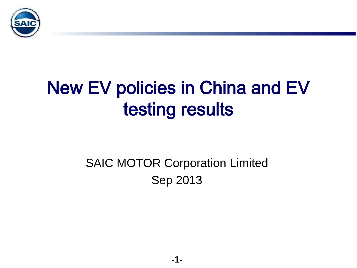

# New EV policies in China and EV testing results

### SAIC MOTOR Corporation Limited Sep 2013

**-1-**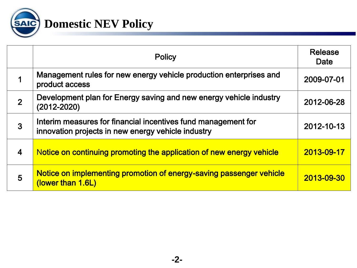

|                | <b>Policy</b>                                                                                                       | <b>Release</b><br>Date |
|----------------|---------------------------------------------------------------------------------------------------------------------|------------------------|
|                | Management rules for new energy vehicle production enterprises and<br>product access                                | 2009-07-01             |
| $\overline{2}$ | Development plan for Energy saving and new energy vehicle industry<br>(2012-2020)                                   | 2012-06-28             |
| $\overline{3}$ | Interim measures for financial incentives fund management for<br>innovation projects in new energy vehicle industry | 2012-10-13             |
| $\overline{4}$ | Notice on continuing promoting the application of new energy vehicle                                                | 2013-09-17             |
| 5              | Notice on implementing promotion of energy-saving passenger vehicle<br>(lower than 1.6L)                            | 2013-09-30             |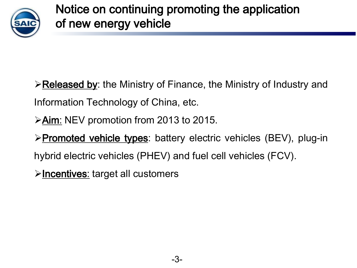

 $\triangleright$  Released by: the Ministry of Finance, the Ministry of Industry and Information Technology of China, etc.

 $\geq$  Aim: NEV promotion from 2013 to 2015.

>Promoted vehicle types: battery electric vehicles (BEV), plug-in hybrid electric vehicles (PHEV) and fuel cell vehicles (FCV).

**>Incentives:** target all customers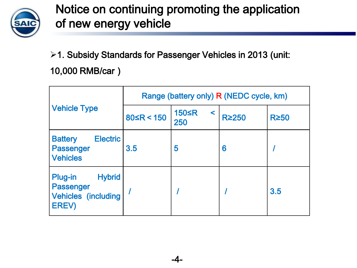

1. Subsidy Standards for Passenger Vehicles in 2013 (unit: 10,000 RMB/car)

|                                                                                     | Range (battery only) R (NEDC cycle, km) |                          |              |             |
|-------------------------------------------------------------------------------------|-----------------------------------------|--------------------------|--------------|-------------|
| <b>Vehicle Type</b>                                                                 | $80 \le R < 150$                        | <b>150≤R</b><br><<br>250 | <b>R≥250</b> | <b>R≥50</b> |
| <b>Electric</b><br><b>Battery</b><br><b>Passenger</b><br><b>Vehicles</b>            | 3.5                                     | 5                        | 6            |             |
| <b>Hybrid</b><br>Plug-in<br><b>Passenger</b><br><b>Vehicles (including</b><br>EREV) |                                         |                          |              | 3.5         |

-4-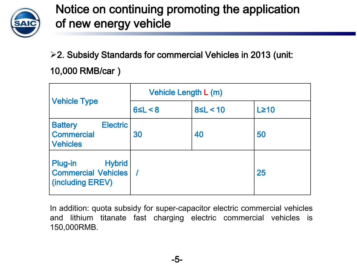

2. Subsidy Standards for commercial Vehicles in 2013 (unit: 10,000 RMB/car)

|                                                                            | Vehicle Length L (m) |                |             |
|----------------------------------------------------------------------------|----------------------|----------------|-------------|
| <b>Vehicle Type</b>                                                        | 65L < 8              | $8 \le L < 10$ | $L \geq 10$ |
| <b>Electric</b><br><b>Battery</b><br><b>Commercial</b><br><b>Vehicles</b>  | 30                   | 40             | 50          |
| <b>Hybrid</b><br>Plug-in<br><b>Commercial Vehicles</b><br>(including EREV) |                      |                | 25          |

In addition: quota subsidy for super-capacitor electric commercial vehicles and lithium titanate fast charging electric commercial vehicles is 150,000RMB.

-5-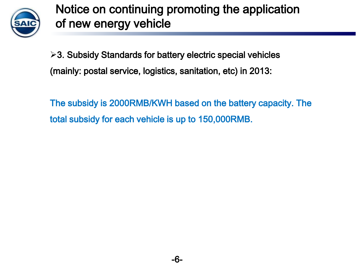

3. Subsidy Standards for battery electric special vehicles (mainly: postal service, logistics, sanitation, etc) in 2013:

The subsidy is 2000RMB/KWH based on the battery capacity. The total subsidy for each vehicle is up to 150,000RMB.

-6-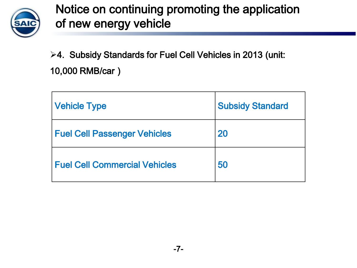

4. Subsidy Standards for Fuel Cell Vehicles in 2013 (unit: 10,000 RMB/car)

| <b>Vehicle Type</b>                  | <b>Subsidy Standard</b> |
|--------------------------------------|-------------------------|
| <b>Fuel Cell Passenger Vehicles</b>  | 20                      |
| <b>Fuel Cell Commercial Vehicles</b> | 50                      |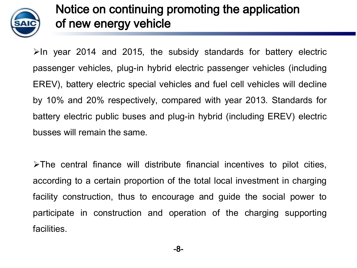

 $\blacktriangleright$ In year 2014 and 2015, the subsidy standards for battery electric passenger vehicles, plug-in hybrid electric passenger vehicles (including EREV), battery electric special vehicles and fuel cell vehicles will decline by 10% and 20% respectively, compared with year 2013. Standards for battery electric public buses and plug-in hybrid (including EREV) electric busses will remain the same.

 $\triangleright$ The central finance will distribute financial incentives to pilot cities, according to a certain proportion of the total local investment in charging facility construction, thus to encourage and guide the social power to participate in construction and operation of the charging supporting facilities.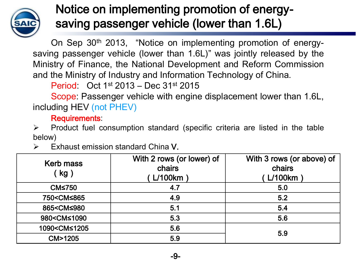

#### Notice on implementing promotion of energysaving passenger vehicle (lower than 1.6L)

On Sep 30<sup>th</sup> 2013, "Notice on implementing promotion of energysaving passenger vehicle (lower than 1.6L)" was jointly released by the Ministry of Finance, the National Development and Reform Commission and the Ministry of Industry and Information Technology of China.

Period: Oct 1<sup>st</sup> 2013 - Dec 31<sup>st</sup> 2015

Scope: Passenger vehicle with engine displacement lower than 1.6L, including HEV (not PHEV)

Requirements:

 $\triangleright$  Product fuel consumption standard (specific criteria are listed in the table below)

| <b>Kerb mass</b><br>(kg)                                | With 2 rows (or lower) of<br>chairs<br>$L/100$ km | With 3 rows (or above) of<br>chairs<br>L/100km |  |
|---------------------------------------------------------|---------------------------------------------------|------------------------------------------------|--|
| <b>CM≤750</b>                                           | 4.7                                               | 5.0                                            |  |
| 750 <cm≤865< td=""><td>4.9</td><td>5.2</td></cm≤865<>   | 4.9                                               | 5.2                                            |  |
| 865 <cm≤980< td=""><td>5.1</td><td>5.4</td></cm≤980<>   | 5.1                                               | 5.4                                            |  |
| 980 <cm≤1090< td=""><td>5.3</td><td>5.6</td></cm≤1090<> | 5.3                                               | 5.6                                            |  |
| 1090 <cm≤1205< td=""><td>5.6</td><td></td></cm≤1205<>   | 5.6                                               |                                                |  |
| <b>CM&gt;1205</b>                                       | 5.9                                               | 5.9                                            |  |

 $\triangleright$  Exhaust emission standard China V.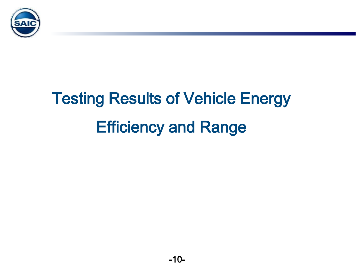

# Testing Results of Vehicle Energy Efficiency and Range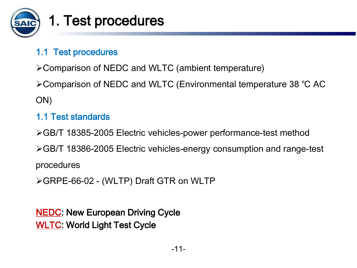

## 1. Test procedures

#### 1.1 Test procedures

Comparison of NEDC and WLTC (ambient temperature)  $\overline{\phantom{a}}$ 

Comparison of NEDC and WLTC (Environmental temperature 38 ℃ AC ON)

#### 1.1 Test standards

GB/T 18385-2005 Electric vehicles-power performance-test method GB/T 18386-2005 Electric vehicles-energy consumption and range-test procedures

GRPE-66-02 - (WLTP) Draft GTR on WLTP

**NEDC: New European Driving Cycle** WLTC: World Light Test Cycle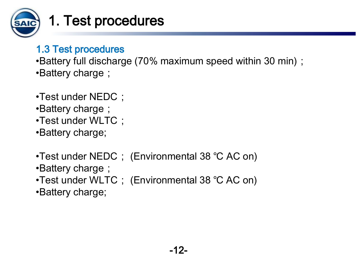

## 1. Test procedures

#### 1.3 Test procedures

•Battery full discharge (70% maximum speed within 30 min); •Battery charge;  $\mathbf{z}$  $\overline{\phantom{a}}$ 

- •Test under NEDC;
- •Battery charge;
- •Test under WLTC;
- •Battery charge;
- •Test under NEDC; (Environmental 38 ℃ AC on) •Battery charge;
- •Test under WLTC; (Environmental 38 ℃ AC on)
- •Battery charge;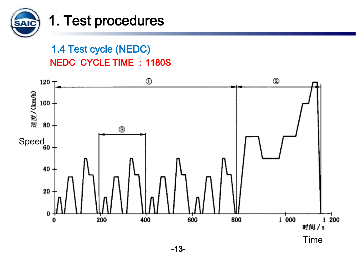

#### 1. Test procedures

1.4 Test cycle (NEDC) NEDC CYCLE TIME : 1180S

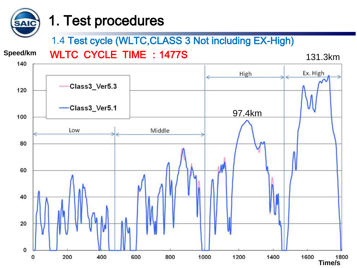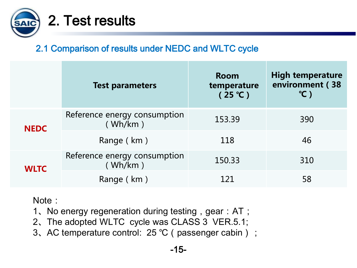

#### 2.1 Comparison of results under NEDC and WLTC cycle

|             | <b>Test parameters</b>                  | <b>Room</b><br>temperature<br>(25 °C) | <b>High temperature</b><br>environment (38<br>$^{\circ}$ C) |
|-------------|-----------------------------------------|---------------------------------------|-------------------------------------------------------------|
| <b>NEDC</b> | Reference energy consumption<br>(Wh/km) | 153.39                                | 390                                                         |
|             | Range (km)                              | 118                                   | 46                                                          |
| <b>WLTC</b> | Reference energy consumption<br>(Wh/km) | 150.33                                | 310                                                         |
|             | Range (km)                              | 121                                   | 58                                                          |

Note:

- 1、No energy regeneration during testing, gear: AT;
- 2、The adopted WLTC cycle was CLASS 3 VER.5.1;
- 3、AC temperature control: 25 °C (passenger cabin) ;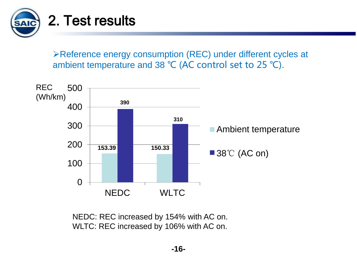

Reference energy consumption (REC) under different cycles at ambient temperature and 38 ℃ (AC control set to 25 ℃).



NEDC: REC increased by 154% with AC on. WLTC: REC increased by 106% with AC on.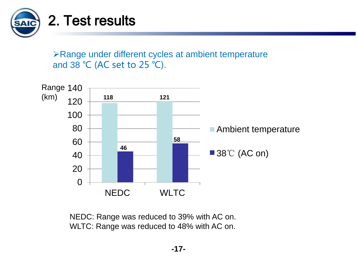

Range under different cycles at ambient temperature and 38 ℃ (AC set to 25 ℃).



NEDC: Range was reduced to 39% with AC on. WLTC: Range was reduced to 48% with AC on.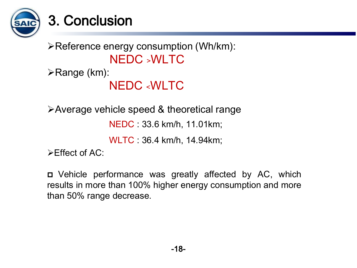

# Reference energy consumption (Wh/km): NEDC ﹥WLTC

Range (km): 

#### NEDC ﹤WLTC

Average vehicle speed & theoretical range

NEDC : 33.6 km/h, 11.01km;

WLTC : 36.4 km/h, 14.94km;

 $\triangleright$  Fffect of AC:

 Vehicle performance was greatly affected by AC, which results in more than 100% higher energy consumption and more than 50% range decrease.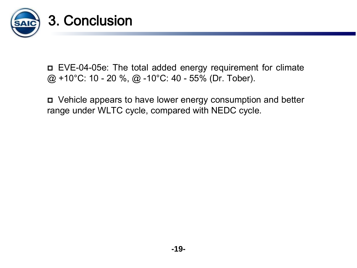

 $\overline{a}$  @ +10°C: 10 - 20 %, @ -10°C: 40 - 55% (Dr. Tober). EVE-04-05e: The total added energy requirement for climate

 Vehicle appears to have lower energy consumption and better range under WLTC cycle, compared with NEDC cycle.